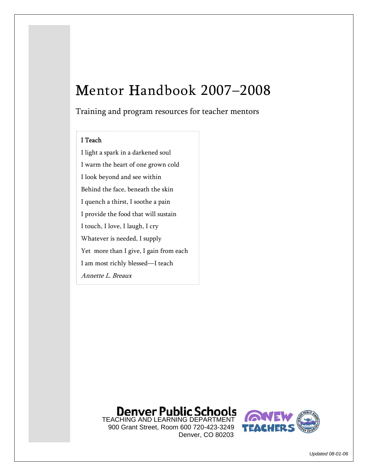# Mentor Handbook 2007–2008

Training and program resources for teacher mentors

#### I Teach

I light a spark in a darkened soul I warm the heart of one grown cold I look beyond and see within Behind the face, beneath the skin I quench a thirst, I soothe a pain I provide the food that will sustain I touch, I love, I laugh, I cry Whatever is needed, I supply Yet more than I give, I gain from each I am most richly blessed—I teach Annette L. Breaux

# **Denver Public Schools**

 900 Grant Street, Room 600 720-423-3249 Denver, CO 80203



*Updated 08-01-06*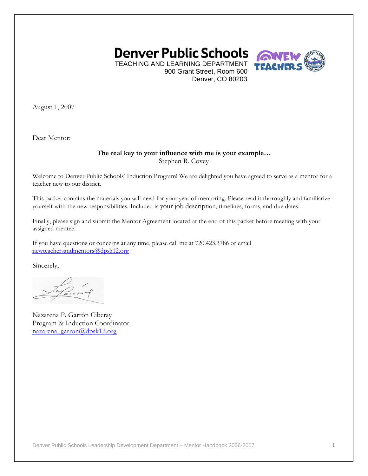

TEACHING AND LEARNING DEPARTMENT 900 Grant Street, Room 600 Denver, CO 80203

August 1, 2007

Dear Mentor:

#### **The real key to your influence with me is your example…**  Stephen R. Covey

Welcome to Denver Public Schools' Induction Program! We are delighted you have agreed to serve as a mentor for a teacher new to our district.

This packet contains the materials you will need for your year of mentoring. Please read it thoroughly and familiarize yourself with the new responsibilities. Included is your job description, timelines, forms, and due dates.

Finally, please sign and submit the Mentor Agreement located at the end of this packet before meeting with your assigned mentee.

If you have questions or concerns at any time, please call me at 720.423.3786 or email newteachersandmentors@dpsk12.org .

Sincerely,

Nazarena P. Garrón Ciberay Program & Induction Coordinator nazarena\_garron@dpsk12.org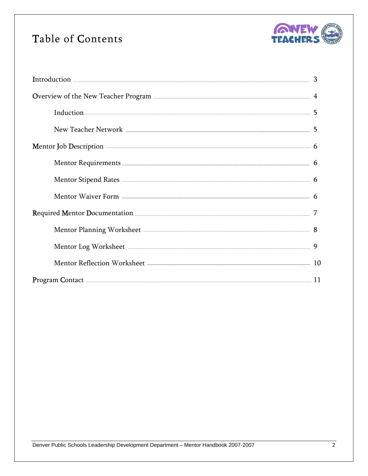## Table of Contents



| Overview of the New Teacher Program <b>Example 2018</b> 4                                                                                                                                                                          |  |  |
|------------------------------------------------------------------------------------------------------------------------------------------------------------------------------------------------------------------------------------|--|--|
| $Induction 355$                                                                                                                                                                                                                    |  |  |
|                                                                                                                                                                                                                                    |  |  |
| Mentor Job Description <b>Construction</b> 6                                                                                                                                                                                       |  |  |
| Mentor Requirements <b>Exercise According to the Contract Official</b> Service and Service and Service and Service and Service and Service and Service and Service and Service and Service and Service and Service and Service and |  |  |
| Mentor Stipend Rates <b>CONSERVERS</b> 6                                                                                                                                                                                           |  |  |
|                                                                                                                                                                                                                                    |  |  |
| 7                                                                                                                                                                                                                                  |  |  |
| Mentor Planning Worksheet 28                                                                                                                                                                                                       |  |  |
| Mentor Log Worksheet <b>Executive Strategier 1</b> 9                                                                                                                                                                               |  |  |
|                                                                                                                                                                                                                                    |  |  |
| Program Contact <b>Exercise Contact 21</b>                                                                                                                                                                                         |  |  |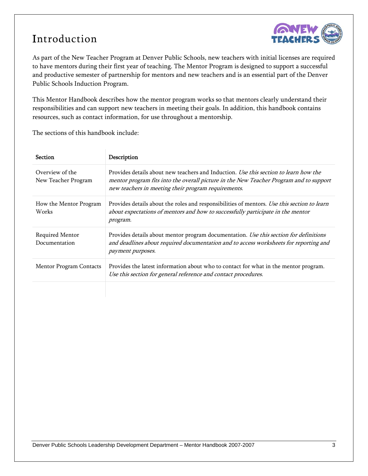## Introduction



As part of the New Teacher Program at Denver Public Schools, new teachers with initial licenses are required to have mentors during their first year of teaching. The Mentor Program is designed to support a successful and productive semester of partnership for mentors and new teachers and is an essential part of the Denver Public Schools Induction Program.

This Mentor Handbook describes how the mentor program works so that mentors clearly understand their responsibilities and can support new teachers in meeting their goals. In addition, this handbook contains resources, such as contact information, for use throughout a mentorship.

The sections of this handbook include:

| <b>Section</b>                         | Description                                                                                                                                                                                                                           |
|----------------------------------------|---------------------------------------------------------------------------------------------------------------------------------------------------------------------------------------------------------------------------------------|
| Overview of the<br>New Teacher Program | Provides details about new teachers and Induction. Use this section to learn how the<br>mentor program fits into the overall picture in the New Teacher Program and to support<br>new teachers in meeting their program requirements. |
| How the Mentor Program<br>Works        | Provides details about the roles and responsibilities of mentors. Use this section to learn<br>about expectations of mentors and how to successfully participate in the mentor<br>program.                                            |
| Required Mentor<br>Documentation       | Provides details about mentor program documentation. Use this section for definitions<br>and deadlines about required documentation and to access worksheets for reporting and<br>payment purposes.                                   |
| <b>Mentor Program Contacts</b>         | Provides the latest information about who to contact for what in the mentor program.<br>Use this section for general reference and contact procedures.                                                                                |
|                                        |                                                                                                                                                                                                                                       |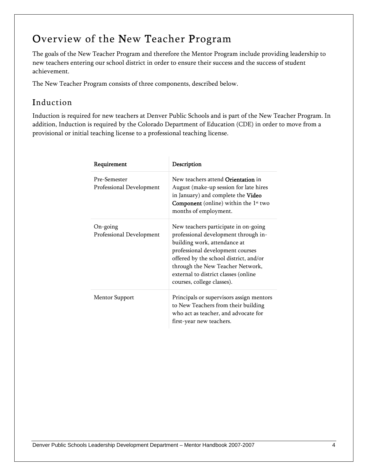## Overview of the New Teacher Program

The goals of the New Teacher Program and therefore the Mentor Program include providing leadership to new teachers entering our school district in order to ensure their success and the success of student achievement.

The New Teacher Program consists of three components, described below.

### Induction

Induction is required for new teachers at Denver Public Schools and is part of the New Teacher Program. In addition, Induction is required by the Colorado Department of Education (CDE) in order to move from a provisional or initial teaching license to a professional teaching license.

| Requirement                              | Description                                                                                                                                                                                                                                                                                          |
|------------------------------------------|------------------------------------------------------------------------------------------------------------------------------------------------------------------------------------------------------------------------------------------------------------------------------------------------------|
| Pre-Semester<br>Professional Development | New teachers attend Orientation in<br>August (make-up session for late hires<br>in January) and complete the Video<br><b>Component</b> (online) within the $1st$ two<br>months of employment.                                                                                                        |
| $On-going$<br>Professional Development   | New teachers participate in on-going<br>professional development through in-<br>building work, attendance at<br>professional development courses<br>offered by the school district, and/or<br>through the New Teacher Network,<br>external to district classes (online<br>courses, college classes). |
| <b>Mentor Support</b>                    | Principals or supervisors assign mentors<br>to New Teachers from their building<br>who act as teacher, and advocate for<br>first-year new teachers.                                                                                                                                                  |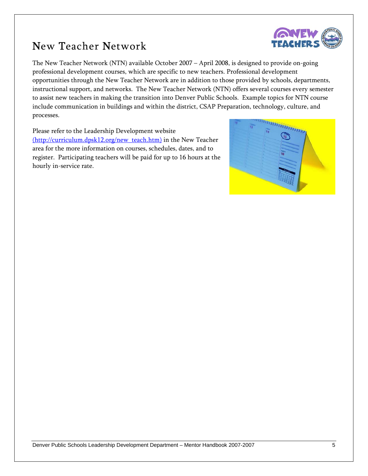### New Teacher Network



The New Teacher Network (NTN) available October 2007 – April 2008, is designed to provide on-going professional development courses, which are specific to new teachers. Professional development opportunities through the New Teacher Network are in addition to those provided by schools, departments, instructional support, and networks. The New Teacher Network (NTN) offers several courses every semester to assist new teachers in making the transition into Denver Public Schools. Example topics for NTN course include communication in buildings and within the district, CSAP Preparation, technology, culture, and processes.

Please refer to the Leadership Development website (http://curriculum.dpsk12.org/new\_teach.htm) in the New Teacher area for the more information on courses, schedules, dates, and to register. Participating teachers will be paid for up to 16 hours at the hourly in-service rate.

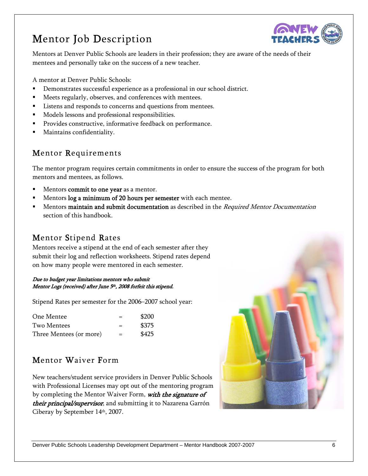# Mentor Job Description



Mentors at Denver Public Schools are leaders in their profession; they are aware of the needs of their mentees and personally take on the success of a new teacher.

A mentor at Denver Public Schools:

- Demonstrates successful experience as a professional in our school district.
- Meets regularly, observes, and conferences with mentees.
- Listens and responds to concerns and questions from mentees.
- Models lessons and professional responsibilities.
- Provides constructive, informative feedback on performance.
- Maintains confidentiality.

### Mentor Requirements

The mentor program requires certain commitments in order to ensure the success of the program for both mentors and mentees, as follows.

- Mentors commit to one year as a mentor.
- Mentors log a minimum of 20 hours per semester with each mentee.
- Mentors maintain and submit documentation as described in the Required Mentor Documentation section of this handbook.

### Mentor Stipend Rates

Mentors receive a stipend at the end of each semester after they submit their log and reflection worksheets. Stipend rates depend on how many people were mentored in each semester.

#### Due to budget year limitations mentors who submit Mentor Logs (received) after June 5<sup>th</sup>, 2008 forfeit this stipend.

Stipend Rates per semester for the 2006–2007 school year:

| One Mentee              | $=$ | \$200 |
|-------------------------|-----|-------|
| Two Mentees             | $=$ | \$375 |
| Three Mentees (or more) | $=$ | \$425 |

### Mentor Waiver Form

New teachers/student service providers in Denver Public Schools with Professional Licenses may opt out of the mentoring program by completing the Mentor Waiver Form, with the signature of their principal/supervisor, and submitting it to Nazarena Garrón Ciberay by September 14th, 2007.

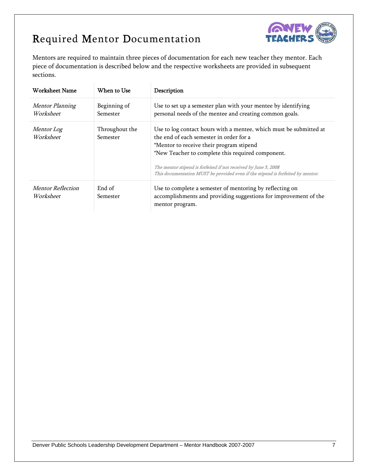# Required Mentor Documentation



Mentors are required to maintain three pieces of documentation for each new teacher they mentor. Each piece of documentation is described below and the respective worksheets are provided in subsequent sections.

| Worksheet Name                        | When to Use                | Description                                                                                                                                                                                                                                                                                                                                                          |
|---------------------------------------|----------------------------|----------------------------------------------------------------------------------------------------------------------------------------------------------------------------------------------------------------------------------------------------------------------------------------------------------------------------------------------------------------------|
| Mentor Planning<br>Worksheet          | Beginning of<br>Semester   | Use to set up a semester plan with your mentee by identifying<br>personal needs of the mentee and creating common goals.                                                                                                                                                                                                                                             |
| <i>Mentor Log</i><br>Worksheet        | Throughout the<br>Semester | Use to log contact hours with a mentee, which must be submitted at<br>the end of each semester in order for a<br>*Mentor to receive their program stipend<br>*New Teacher to complete this required component.<br>The mentor stipend is forfeited if not received by June 5, 2008<br>This documentation MUST be provided even if the stipend is forfeited by mentor. |
| <b>Mentor Reflection</b><br>Worksheet | End of<br>Semester         | Use to complete a semester of mentoring by reflecting on<br>accomplishments and providing suggestions for improvement of the<br>mentor program.                                                                                                                                                                                                                      |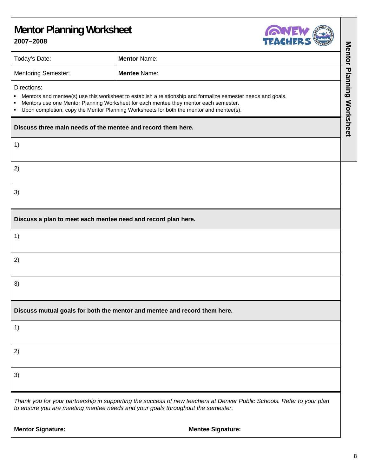### **Mentor Planning Worksheet 2007–2008**



| 2007–2008<br><b>TEACHERD</b>                                                                                                                                                                                                                                                                                             |                                                                                                                                                                                                         |                                  |
|--------------------------------------------------------------------------------------------------------------------------------------------------------------------------------------------------------------------------------------------------------------------------------------------------------------------------|---------------------------------------------------------------------------------------------------------------------------------------------------------------------------------------------------------|----------------------------------|
| Today's Date:                                                                                                                                                                                                                                                                                                            | <b>Mentor Name:</b>                                                                                                                                                                                     |                                  |
| <b>Mentoring Semester:</b>                                                                                                                                                                                                                                                                                               | <b>Mentee Name:</b>                                                                                                                                                                                     |                                  |
| Directions:<br>Mentors and mentee(s) use this worksheet to establish a relationship and formalize semester needs and goals.<br>Mentors use one Mentor Planning Worksheet for each mentee they mentor each semester.<br>٠<br>Upon completion, copy the Mentor Planning Worksheets for both the mentor and mentee(s).<br>٠ |                                                                                                                                                                                                         |                                  |
| Discuss three main needs of the mentee and record them here.                                                                                                                                                                                                                                                             |                                                                                                                                                                                                         | <b>Mentor Planning Worksheet</b> |
| 1)                                                                                                                                                                                                                                                                                                                       |                                                                                                                                                                                                         |                                  |
| 2)                                                                                                                                                                                                                                                                                                                       |                                                                                                                                                                                                         |                                  |
| 3)                                                                                                                                                                                                                                                                                                                       |                                                                                                                                                                                                         |                                  |
| Discuss a plan to meet each mentee need and record plan here.                                                                                                                                                                                                                                                            |                                                                                                                                                                                                         |                                  |
| 1)                                                                                                                                                                                                                                                                                                                       |                                                                                                                                                                                                         |                                  |
| 2)                                                                                                                                                                                                                                                                                                                       |                                                                                                                                                                                                         |                                  |
| 3)                                                                                                                                                                                                                                                                                                                       |                                                                                                                                                                                                         |                                  |
|                                                                                                                                                                                                                                                                                                                          | Discuss mutual goals for both the mentor and mentee and record them here.                                                                                                                               |                                  |
| 1)                                                                                                                                                                                                                                                                                                                       |                                                                                                                                                                                                         |                                  |
| 2)                                                                                                                                                                                                                                                                                                                       |                                                                                                                                                                                                         |                                  |
| 3)                                                                                                                                                                                                                                                                                                                       |                                                                                                                                                                                                         |                                  |
|                                                                                                                                                                                                                                                                                                                          | Thank you for your partnership in supporting the success of new teachers at Denver Public Schools. Refer to your plan<br>to ensure you are meeting mentee needs and your goals throughout the semester. |                                  |
| <b>Mentor Signature:</b>                                                                                                                                                                                                                                                                                                 | <b>Mentee Signature:</b>                                                                                                                                                                                |                                  |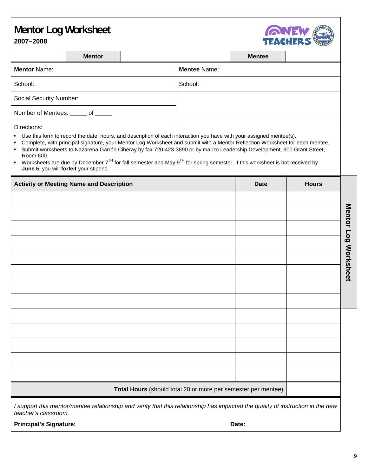# **Mentor Log Worksheet**



**2007–2008**

| Mentor |  |
|--------|--|

**Mentee Mentor** Name: **Mentee** Name: School: School: School: School: School: School: School: School: School: School: School: School: School: School: School: School: School: School: School: School: School: School: School: School: School: School: School: School Social Security Number: Number of Mentees: of

Directions:

- Use this form to record the date, hours, and description of each interaction you have with your assigned mentee(s).
- Complete, with principal signature, your Mentor Log Worksheet and submit with a Mentor Reflection Worksheet for each mentee. Submit worksheets to Nazarena Garrón Ciberay by fax 720-423-3890 or by mail to Leadership Development, 900 Grant Street,
- Room 600.

| • Worksheets are due by December $7^{TH}$ for fall semester and May $9^{TH}$ for spring semester. If this worksheet is not received by |
|----------------------------------------------------------------------------------------------------------------------------------------|
| <b>June 5, you will forfeit your stipend.</b>                                                                                          |

| <b>Activity or Meeting Name and Description</b>               | <b>Date</b> | <b>Hours</b> |                      |
|---------------------------------------------------------------|-------------|--------------|----------------------|
|                                                               |             |              |                      |
|                                                               |             |              |                      |
|                                                               |             |              |                      |
|                                                               |             |              |                      |
|                                                               |             |              |                      |
|                                                               |             |              | Mentor Log Worksheet |
|                                                               |             |              |                      |
|                                                               |             |              |                      |
|                                                               |             |              |                      |
|                                                               |             |              |                      |
|                                                               |             |              |                      |
|                                                               |             |              |                      |
|                                                               |             |              |                      |
|                                                               |             |              |                      |
| Total Hours (should total 20 or more per semester per mentee) |             |              |                      |

*I support this mentor/mentee relationship and verify that this relationship has impacted the quality of instruction in the new teacher's classroom.* 

**Principal's Signature: Date:**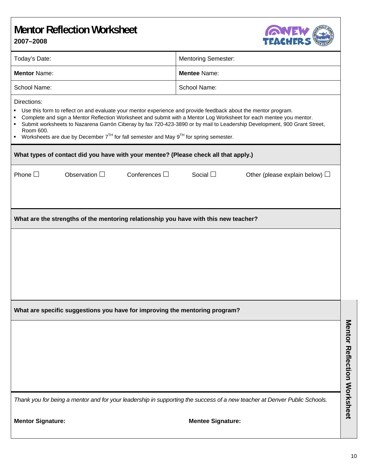### **Mentor Reflection Worksheet 2007–2008**



|                                                                                                                                                                                                                                                                                                                                                                                                                                                                                                                | $C$ <sup>n</sup> ture                                   |
|----------------------------------------------------------------------------------------------------------------------------------------------------------------------------------------------------------------------------------------------------------------------------------------------------------------------------------------------------------------------------------------------------------------------------------------------------------------------------------------------------------------|---------------------------------------------------------|
| Today's Date:                                                                                                                                                                                                                                                                                                                                                                                                                                                                                                  | <b>Mentoring Semester:</b>                              |
| <b>Mentor Name:</b>                                                                                                                                                                                                                                                                                                                                                                                                                                                                                            | <b>Mentee Name:</b>                                     |
| School Name:                                                                                                                                                                                                                                                                                                                                                                                                                                                                                                   | School Name:                                            |
| Directions:<br>Use this form to reflect on and evaluate your mentor experience and provide feedback about the mentor program.<br>Complete and sign a Mentor Reflection Worksheet and submit with a Mentor Log Worksheet for each mentee you mentor.<br>×<br>Submit worksheets to Nazarena Garrón Ciberay by fax 720-423-3890 or by mail to Leadership Development, 900 Grant Street,<br>٠<br>Room 600.<br>Worksheets are due by December $7^{TH}$ for fall semester and May $9^{TH}$ for spring semester.<br>٠ |                                                         |
| What types of contact did you have with your mentee? (Please check all that apply.)                                                                                                                                                                                                                                                                                                                                                                                                                            |                                                         |
| Phone $\square$<br>Observation $\Box$<br>Conferences $\square$                                                                                                                                                                                                                                                                                                                                                                                                                                                 | Social $\square$<br>Other (please explain below) $\Box$ |
| What are the strengths of the mentoring relationship you have with this new teacher?                                                                                                                                                                                                                                                                                                                                                                                                                           |                                                         |
|                                                                                                                                                                                                                                                                                                                                                                                                                                                                                                                |                                                         |
| What are specific suggestions you have for improving the mentoring program?                                                                                                                                                                                                                                                                                                                                                                                                                                    |                                                         |
|                                                                                                                                                                                                                                                                                                                                                                                                                                                                                                                |                                                         |
| Thank you for being a mentor and for your leadership in supporting the success of a new teacher at Denver Public Schools.                                                                                                                                                                                                                                                                                                                                                                                      |                                                         |
| <b>Mentor Signature:</b>                                                                                                                                                                                                                                                                                                                                                                                                                                                                                       | <b>Mentee Signature:</b>                                |